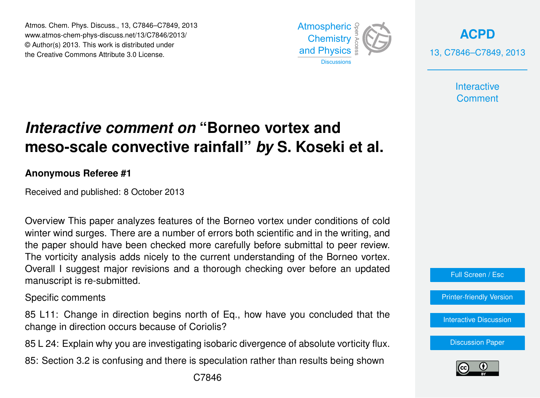Atmos. Chem. Phys. Discuss., 13, C7846–C7849, 2013 Atmospheric www.atmos-chem-phys-discuss.net/13/C7846/2013/<br>@ Author(a) 2012, This work is distributed under © Author(s) 2013. This work is distributed under the Creative Commons Attribute 3.0 License.



**[ACPD](http://www.atmos-chem-phys-discuss.net)** 13, C7846–C7849, 2013

> **Interactive Comment**

## biogeosciences<br>L ،<br>آ .<br>و *Interactive comment on* "Borneo vortex and meso-scale convective rainfall" *by* S. Koseki et al.

## **Anonymous Referee #1**

Received and published: 8 October 2013

 $\frac{1}{2}$ which who sarges. There are a hannel or errors both scientific and in the whiling, and<br>the paper should have been checked more carefully before submittal to peer review. of<br>O s<br>ti<br>r Overview This paper analyzes features of the Borneo vortex under conditions of cold winter wind surges. There are a number of errors both scientific and in the writing, and Overall I suggest major revisions and a thorough checking over before an updated Instrumentation  $\mathbf{C}$  $\overline{C}$ The vorticity analysis adds nicely to the current understanding of the Borneo vortex. manuscript is re-submitted.

Specific comments

Discussions change in direction occurs because of Coriolis? .<br>ون .<br>ic Geoscientific 85 L11: Change in direction begins north of Eq., how have you concluded that the

85 L 24: Explain why you are investigating isobaric divergence of absolute vorticity flux.

Hydrology and Hydrology and 85: Section 3.2 is confusing and there is speculation rather than results being shown

Earth System



Full Screen / Esc

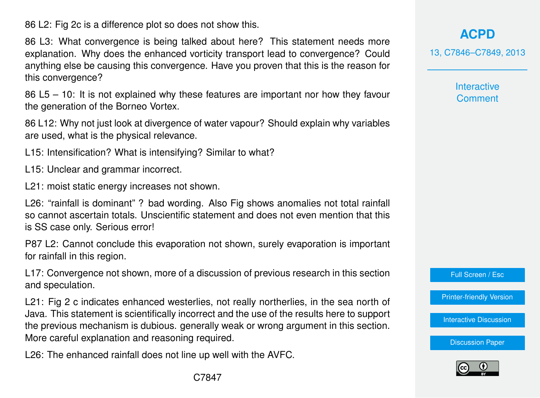86 L2: Fig 2c is a difference plot so does not show this.

86 L3: What convergence is being talked about here? This statement needs more explanation. Why does the enhanced vorticity transport lead to convergence? Could anything else be causing this convergence. Have you proven that this is the reason for this convergence?

86 L5 – 10: It is not explained why these features are important nor how they favour the generation of the Borneo Vortex.

86 L12: Why not just look at divergence of water vapour? Should explain why variables are used, what is the physical relevance.

L15: Intensification? What is intensifying? Similar to what?

L15: Unclear and grammar incorrect.

L21: moist static energy increases not shown.

L26: "rainfall is dominant" ? bad wording. Also Fig shows anomalies not total rainfall so cannot ascertain totals. Unscientific statement and does not even mention that this is SS case only. Serious error!

P87 L2: Cannot conclude this evaporation not shown, surely evaporation is important for rainfall in this region.

L17: Convergence not shown, more of a discussion of previous research in this section and speculation.

L21: Fig 2 c indicates enhanced westerlies, not really northerlies, in the sea north of Java. This statement is scientifically incorrect and the use of the results here to support the previous mechanism is dubious. generally weak or wrong argument in this section. More careful explanation and reasoning required.

L26: The enhanced rainfall does not line up well with the AVFC.

**[ACPD](http://www.atmos-chem-phys-discuss.net)**

13, C7846–C7849, 2013

**Interactive Comment** 

Full Screen / Esc

[Printer-friendly Version](http://www.atmos-chem-phys-discuss.net/13/C7846/2013/acpd-13-C7846-2013-print.pdf)

[Interactive Discussion](http://www.atmos-chem-phys-discuss.net/13/21079/2013/acpd-13-21079-2013-discussion.html)

[Discussion Paper](http://www.atmos-chem-phys-discuss.net/13/21079/2013/acpd-13-21079-2013.pdf)

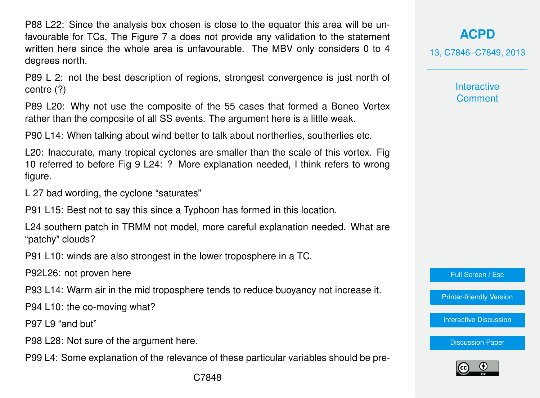P88 L22: Since the analysis box chosen is close to the equator this area will be unfavourable for TCs, The Figure 7 a does not provide any validation to the statement written here since the whole area is unfavourable. The MBV only considers 0 to 4 degrees north.

P89 L 2: not the best description of regions, strongest convergence is just north of centre (?)

P89 L20: Why not use the composite of the 55 cases that formed a Boneo Vortex rather than the composite of all SS events. The argument here is a little weak.

P90 L14: When talking about wind better to talk about northerlies, southerlies etc.

L20: Inaccurate, many tropical cyclones are smaller than the scale of this vortex. Fig 10 referred to before Fig 9 L24: ? More explanation needed, I think refers to wrong figure.

L 27 bad wording, the cyclone "saturates"

P91 L15: Best not to say this since a Typhoon has formed in this location.

L24 southern patch in TRMM not model, more careful explanation needed. What are "patchy" clouds?

P91 L10: winds are also strongest in the lower troposphere in a TC.

P92L26: not proven here

P93 L14: Warm air in the mid troposphere tends to reduce buoyancy not increase it.

P94 L10: the co-moving what?

P97 L9 "and but"

P98 L28: Not sure of the argument here.

P99 L4: Some explanation of the relevance of these particular variables should be pre-

**[ACPD](http://www.atmos-chem-phys-discuss.net)**

13, C7846–C7849, 2013

**Interactive Comment** 

Full Screen / Esc

[Printer-friendly Version](http://www.atmos-chem-phys-discuss.net/13/C7846/2013/acpd-13-C7846-2013-print.pdf)

[Interactive Discussion](http://www.atmos-chem-phys-discuss.net/13/21079/2013/acpd-13-21079-2013-discussion.html)

[Discussion Paper](http://www.atmos-chem-phys-discuss.net/13/21079/2013/acpd-13-21079-2013.pdf)